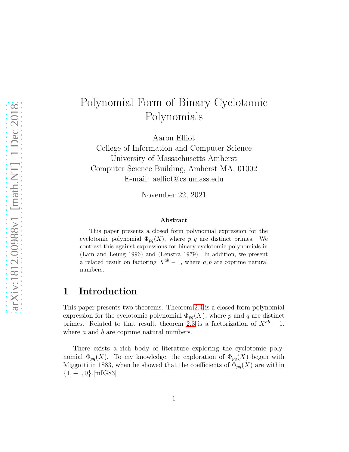# Polynomial Form of Binary Cyclotomic Polynomials

Aaron Elliot

College of Information and Computer Science University of Massachusetts Amherst Computer Science Building, Amherst MA, 01002 E-mail: aelliot@cs.umass.edu

November 22, 2021

#### Abstract

This paper presents a closed form polynomial expression for the cyclotomic polynomial  $\Phi_{pq}(X)$ , where p, q are distinct primes. We contrast this against expressions for binary cyclotomic polynomials in (Lam and Leung 1996) and (Lenstra 1979). In addition, we present a related result on factoring  $X^{ab} - 1$ , where a, b are coprime natural numbers.

### 1 Introduction

This paper presents two theorems. Theorem [2.4](#page-5-0) is a closed form polynomial expression for the cyclotomic polynomial  $\Phi_{pq}(X)$ , where p and q are distinct primes. Related to that result, theorem [2.3](#page-4-0) is a factorization of  $X^{ab} - 1$ , where a and b are coprime natural numbers.

There exists a rich body of literature exploring the cyclotomic polynomial  $\Phi_{pq}(X)$ . To my knowledge, the exploration of  $\Phi_{pq}(X)$  began with Miggotti in 1883, when he showed that the coefficients of  $\Phi_{pq}(X)$  are within  $\{1, -1, 0\}$ .[mIG83]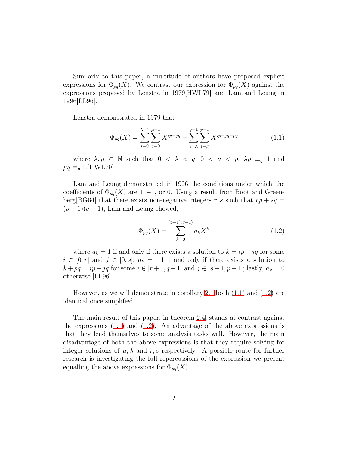Similarly to this paper, a multitude of authors have proposed explicit expressions for  $\Phi_{pq}(X)$ . We contrast our expression for  $\Phi_{pq}(X)$  against the expressions proposed by Lenstra in 1979[HWL79] and Lam and Leung in 1996[LL96].

Lenstra demonstrated in 1979 that

<span id="page-1-0"></span>
$$
\Phi_{pq}(X) = \sum_{i=0}^{\lambda-1} \sum_{j=0}^{\mu-1} X^{ip+jq} - \sum_{i=\lambda}^{q-1} \sum_{j=\mu}^{p-1} X^{ip+jq-pq} \tag{1.1}
$$

where  $\lambda, \mu \in \mathbb{N}$  such that  $0 < \lambda < q$ ,  $0 < \mu < p$ ,  $\lambda p \equiv_q 1$  and  $\mu q \equiv_p 1$ .[HWL79]

Lam and Leung demonstrated in 1996 the conditions under which the coefficients of  $\Phi_{pq}(X)$  are 1, -1, or 0. Using a result from Boot and Greenberg[BG64] that there exists non-negative integers r, s such that  $rp + sq =$  $(p-1)(q-1)$ , Lam and Leung showed,

<span id="page-1-1"></span>
$$
\Phi_{pq}(X) = \sum_{k=0}^{(p-1)(q-1)} a_k X^k
$$
\n(1.2)

where  $a_k = 1$  if and only if there exists a solution to  $k = ip + jq$  for some  $i \in [0, r]$  and  $j \in [0, s]$ ;  $a_k = -1$  if and only if there exists a solution to  $k + pq = ip + jq$  for some  $i \in [r+1, q-1]$  and  $j \in [s+1, p-1]$ ; lastly,  $a_k = 0$ otherwise.[LL96]

However, as we will demonstrate in corollary [2.1](#page-2-0) both [\(1.1\)](#page-1-0) and [\(1.2\)](#page-1-1) are identical once simplified.

The main result of this paper, in theorem [2.4,](#page-5-0) stands at contrast against the expressions  $(1.1)$  and  $(1.2)$ . An advantage of the above expressions is that they lend themselves to some analysis tasks well. However, the main disadvantage of both the above expressions is that they require solving for integer solutions of  $\mu$ ,  $\lambda$  and  $r$ , s respectively. A possible route for further research is investigating the full repercussions of the expression we present equalling the above expressions for  $\Phi_{pq}(X)$ .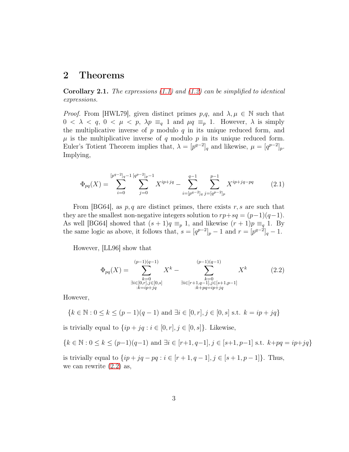#### 2 Theorems

<span id="page-2-0"></span>**Corollary 2.1.** The expressions  $(1.1)$  and  $(1.2)$  can be simplified to identical expressions.

*Proof.* From [HWL79], given distinct primes  $p,q$ , and  $\lambda, \mu \in \mathbb{N}$  such that  $0 < \lambda < q$ ,  $0 < \mu < p$ ,  $\lambda p \equiv_q 1$  and  $\mu q \equiv_p 1$ . However,  $\lambda$  is simply the multiplicative inverse of  $p$  modulo  $q$  in its unique reduced form, and  $\mu$  is the multiplicative inverse of q modulo p in its unique reduced form. Euler's Totient Theorem implies that,  $\lambda = [p^{q-2}]_q$  and likewise,  $\mu = [q^{p-2}]_p$ . Implying,

<span id="page-2-2"></span>
$$
\Phi_{pq}(X) = \sum_{i=0}^{[p^{q-2}]_q-1} \sum_{j=0}^{[q^{p-2}]_p-1} X^{ip+jq} - \sum_{i=[p^{q-2}]_q}^{q-1} \sum_{j=[q^{p-2}]_p}^{p-1} X^{ip+jq-pq}
$$
(2.1)

From [BG64], as  $p, q$  are distinct primes, there exists r, s are such that they are the smallest non-negative integers solution to  $rp+sq = (p-1)(q-1)$ . As well [BG64] showed that  $(s + 1)q \equiv_p 1$ , and likewise  $(r + 1)p \equiv_q 1$ . By the same logic as above, it follows that,  $s = [q^{p-2}]_p - 1$  and  $r = [p^{q-2}]_q - 1$ .

However, [LL96] show that

<span id="page-2-1"></span>
$$
\Phi_{pq}(X) = \sum_{\substack{k=0 \ \exists i \in [0,r], j \in [0,s]}}^{(p-1)(q-1)} X^k - \sum_{\substack{k=0 \ \exists i \in [r+1,q-1], j \in [s+1,p-1]}}^{(p-1)(q-1)} X^k \tag{2.2}
$$
\n
$$
\lim_{\substack{k=0 \ \exists i \in [p+1,q-1], j \in [s+1,p-1]}} X^k
$$

However,

$$
\{k \in \mathbb{N} : 0 \le k \le (p-1)(q-1) \text{ and } \exists i \in [0, r], j \in [0, s] \text{ s.t. } k = ip + jq\}
$$

is trivially equal to  $\{ip + jq : i \in [0, r], j \in [0, s]\}.$  Likewise,

$$
\{k \in \mathbb{N} : 0 \le k \le (p-1)(q-1) \text{ and } \exists i \in [r+1, q-1], j \in [s+1, p-1] \text{ s.t. } k + pq = ip + jq\}
$$

is trivially equal to  $\{ip + jq - pq : i \in [r+1, q-1], j \in [s+1, p-1]\}.$  Thus, we can rewrite [\(2.2\)](#page-2-1) as,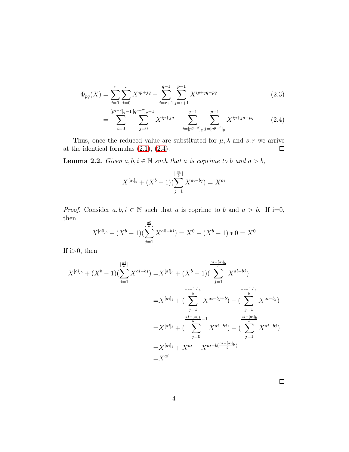$$
\Phi_{pq}(X) = \sum_{i=0}^{r} \sum_{j=0}^{s} X^{ip+jq} - \sum_{i=r+1}^{q-1} \sum_{j=s+1}^{p-1} X^{ip+jq-pq}
$$
\n(2.3)

$$
= \sum_{i=0}^{[p^{q-2}]_q-1} \sum_{j=0}^{[q^{p-2}]_p-1} X^{ip+jq} - \sum_{i=[p^{q-2}]_q}^{q-1} \sum_{j=[q^{p-2}]_p}^{p-1} X^{ip+jq-pq} \tag{2.4}
$$

Thus, once the reduced value are substituted for  $\mu$ ,  $\lambda$  and  $s$ ,  $r$  we arrive at the identical formulas [\(2.1\)](#page-2-2), [\(2.4\)](#page-3-0).  $\Box$ 

<span id="page-3-1"></span>**Lemma 2.2.** Given  $a, b, i \in \mathbb{N}$  such that a is coprime to b and  $a > b$ ,

<span id="page-3-0"></span>
$$
X^{[ai]_b} + (X^b - 1)(\sum_{j=1}^{\lfloor \frac{ai}{b} \rfloor} X^{ai - bj}) = X^{ai}
$$

*Proof.* Consider  $a, b, i \in \mathbb{N}$  such that a is coprime to b and  $a > b$ . If i=0, then

$$
X^{[a0]_b} + (X^b - 1)(\sum_{j=1}^{\lfloor \frac{a0}{b} \rfloor} X^{a0 - bj}) = X^0 + (X^b - 1) * 0 = X^0
$$

If  $i>0$ , then

$$
X^{[ai]_b} + (X^b - 1)(\sum_{j=1}^{\lfloor \frac{ai}{b} \rfloor} X^{ai - bj}) = X^{[ai]_b} + (X^b - 1)(\sum_{j=1}^{\frac{ai - [ai]_b}{b}} X^{ai - bj})
$$
  

$$
= X^{[ai]_b} + (\sum_{j=1}^{\frac{ai - [ai]_b}{b}} X^{ai - bj + b}) - (\sum_{j=1}^{\frac{ai - [ai]_b}{b}} X^{ai - bj})
$$
  

$$
= X^{[ai]_b} + (\sum_{j=0}^{\frac{ai - [ai]_b}{b}} X^{ai - bj}) - (\sum_{j=1}^{\frac{ai - [ai]_b}{b}} X^{ai - bj})
$$
  

$$
= X^{[ai]_b} + X^{ai} - X^{ai - b(\frac{ai - [ai]_b}{b})}
$$
  

$$
= X^{ai}
$$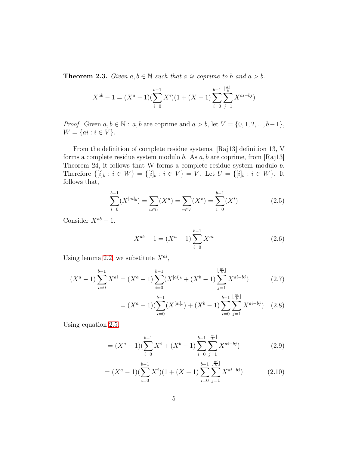<span id="page-4-0"></span>**Theorem 2.3.** Given  $a, b \in \mathbb{N}$  such that a is coprime to b and  $a > b$ .

$$
X^{ab} - 1 = (X^a - 1)(\sum_{i=0}^{b-1} X^i)(1 + (X - 1)\sum_{i=0}^{b-1} \sum_{j=1}^{\lfloor \frac{ai}{b} \rfloor} X^{ai - bj})
$$

*Proof.* Given  $a, b \in \mathbb{N}$ :  $a, b$  are coprime and  $a > b$ , let  $V = \{0, 1, 2, ..., b-1\}$ ,  $W = \{ai : i \in V\}.$ 

From the definition of complete residue systems, [Raj13] definition 13, V forms a complete residue system modulo b. As  $a, b$  are coprime, from [Raj13] Theorem 24, it follows that W forms a complete residue system modulo b. Therefore  $\{[i]_b : i \in W\} = \{[i]_b : i \in V\} = V$ . Let  $U = \{[i]_b : i \in W\}$ . It follows that,

$$
\sum_{i=0}^{b-1} (X^{[ai]_b}) = \sum_{u \in U} (X^u) = \sum_{v \in V} (X^v) = \sum_{i=0}^{b-1} (X^i)
$$
 (2.5)

Consider  $X^{ab} - 1$ .

$$
X^{ab} - 1 = (X^a - 1) \sum_{i=0}^{b-1} X^{ai}
$$
 (2.6)

 $i=0$ 

<span id="page-4-1"></span> $j=1$ 

Using lemma [2.2,](#page-3-1) we substitute  $X^{ai}$ ,

$$
(X^{a} - 1) \sum_{i=0}^{b-1} X^{ai} = (X^{a} - 1) \sum_{i=0}^{b-1} (X^{[ai]_b} + (X^{b} - 1) \sum_{j=1}^{\lfloor \frac{ai}{b} \rfloor} X^{ai - bj})
$$
(2.7)  

$$
= (X^{a} - 1) (\sum_{j=0}^{b-1} (X^{[ai]_b}) + (X^{b} - 1) \sum_{j=1}^{b-1} \sum_{j=1}^{\lfloor \frac{ai}{b} \rfloor} X^{ai - bj})
$$
(2.8)

 $i=0$ 

Using equation 
$$
2.5
$$
,

$$
= (X^{a} - 1)(\sum_{i=0}^{b-1} X^{i} + (X^{b} - 1)\sum_{i=0}^{b-1} \sum_{j=1}^{\lfloor \frac{ai}{b} \rfloor} X^{ai - bj})
$$
 (2.9)

$$
= (X^{a} - 1)(\sum_{i=0}^{b-1} X^{i})(1 + (X - 1)\sum_{i=0}^{b-1} \sum_{j=1}^{\lfloor \frac{ai}{b} \rfloor} X^{ai - bj})
$$
 (2.10)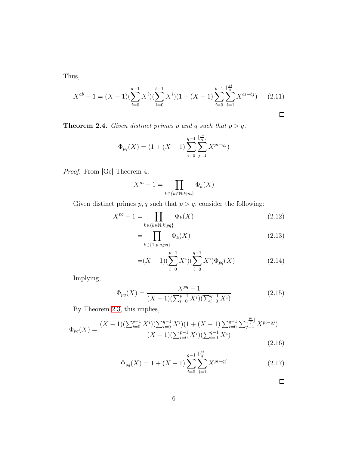Thus,

$$
X^{ab} - 1 = (X - 1)(\sum_{i=0}^{a-1} X^i)(\sum_{i=0}^{b-1} X^i)(1 + (X - 1)\sum_{i=0}^{b-1} \sum_{j=1}^{\lfloor \frac{ai}{b} \rfloor} X^{ai - bj}) \tag{2.11}
$$

<span id="page-5-0"></span>**Theorem 2.4.** Given distinct primes p and q such that  $p > q$ .

$$
\Phi_{pq}(X) = (1 + (X - 1) \sum_{i=0}^{q-1} \sum_{j=1}^{\lfloor \frac{pi}{q} \rfloor} X^{pi - qj})
$$

Proof. From [Ge] Theorem 4,

$$
X^m - 1 = \prod_{k \in \{k \in \mathbb{N} : k|m\}} \Phi_k(X)
$$

Given distinct primes  $p, q$  such that  $p > q$ , consider the following:

$$
X^{pq} - 1 = \prod_{k \in \{k \in \mathbb{N} : k|pq\}} \Phi_k(X)
$$
\n(2.12)

$$
=\prod_{k\in\{1,p,q,pq\}}\Phi_k(X)\tag{2.13}
$$

$$
=(X-1)(\sum_{i=0}^{p-1}X^{i})(\sum_{i=0}^{q-1}X^{i})\Phi_{pq}(X)
$$
\n(2.14)

Implying,

$$
\Phi_{pq}(X) = \frac{X^{pq} - 1}{(X - 1)(\sum_{i=0}^{p-1} X^i)(\sum_{i=0}^{q-1} X^i)}
$$
(2.15)

By Theorem [2.3,](#page-4-0) this implies,

$$
\Phi_{pq}(X) = \frac{(X-1)(\sum_{i=0}^{p-1} X^i)(\sum_{i=0}^{q-1} X^i)(1 + (X-1)\sum_{i=0}^{q-1} \sum_{j=1}^{\lfloor \frac{pi}{q} \rfloor} X^{pi-qj})}{(X-1)(\sum_{i=0}^{p-1} X^i)(\sum_{i=0}^{q-1} X^i)}
$$
(2.16)

$$
\Phi_{pq}(X) = 1 + (X - 1) \sum_{i=0}^{q-1} \sum_{j=1}^{\lfloor \frac{pi}{q} \rfloor} X^{pi - qj}
$$
 (2.17)